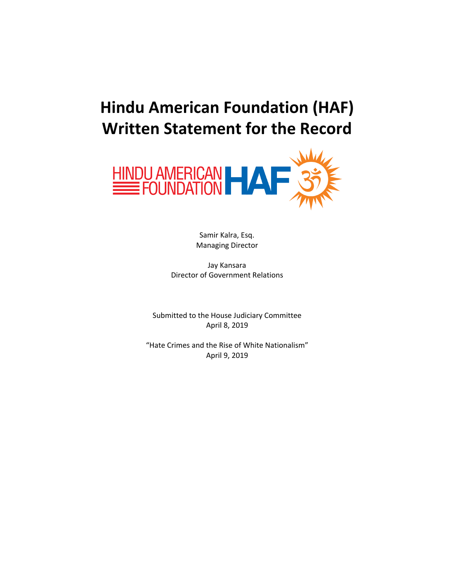# **Hindu American Foundation (HAF) Written Statement for the Record**



Samir Kalra, Esq. Managing Director

Jay Kansara Director of Government Relations

Submitted to the House Judiciary Committee April 8, 2019

"Hate Crimes and the Rise of White Nationalism" April 9, 2019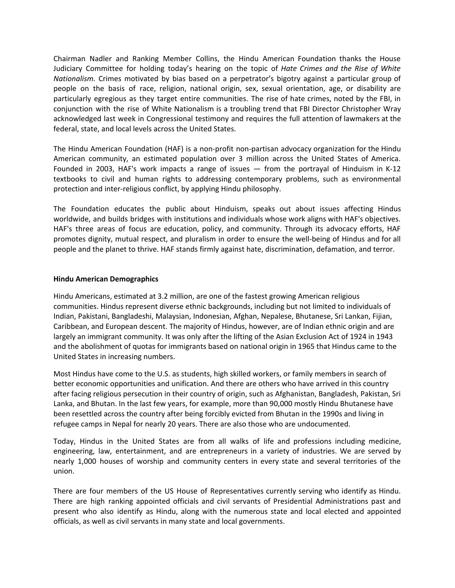Chairman Nadler and Ranking Member Collins, the Hindu American Foundation thanks the House Judiciary Committee for holding today's hearing on the topic of *Hate Crimes and the Rise of White Nationalism.* Crimes motivated by bias based on a perpetrator's bigotry against a particular group of people on the basis of race, religion, national origin, sex, sexual orientation, age, or disability are particularly egregious as they target entire communities. The rise of hate crimes, noted by the FBI, in conjunction with the rise of White Nationalism is a troubling trend that FBI Director Christopher Wray acknowledged last week in Congressional testimony and requires the full attention of lawmakers at the federal, state, and local levels across the United States.

The Hindu American Foundation (HAF) is a non-profit non-partisan advocacy organization for the Hindu American community, an estimated population over 3 million across the United States of America. Founded in 2003, HAF's work impacts a range of issues — from the portrayal of Hinduism in K-12 textbooks to civil and human rights to addressing contemporary problems, such as environmental protection and inter-religious conflict, by applying Hindu philosophy.

The Foundation educates the public about Hinduism, speaks out about issues affecting Hindus worldwide, and builds bridges with institutions and individuals whose work aligns with HAF's objectives. HAF's three areas of focus are education, policy, and community. Through its advocacy efforts, HAF promotes dignity, mutual respect, and pluralism in order to ensure the well-being of Hindus and for all people and the planet to thrive. HAF stands firmly against hate, discrimination, defamation, and terror.

## **Hindu American Demographics**

Hindu Americans, estimated at 3.2 million, are one of the fastest growing American religious communities. Hindus represent diverse ethnic backgrounds, including but not limited to individuals of Indian, Pakistani, Bangladeshi, Malaysian, Indonesian, Afghan, Nepalese, Bhutanese, Sri Lankan, Fijian, Caribbean, and European descent. The majority of Hindus, however, are of Indian ethnic origin and are largely an immigrant community. It was only after the lifting of the Asian Exclusion Act of 1924 in 1943 and the abolishment of quotas for immigrants based on national origin in 1965 that Hindus came to the United States in increasing numbers.

Most Hindus have come to the U.S. as students, high skilled workers, or family members in search of better economic opportunities and unification. And there are others who have arrived in this country after facing religious persecution in their country of origin, such as Afghanistan, Bangladesh, Pakistan, Sri Lanka, and Bhutan. In the last few years, for example, more than 90,000 mostly Hindu Bhutanese have been resettled across the country after being forcibly evicted from Bhutan in the 1990s and living in refugee camps in Nepal for nearly 20 years. There are also those who are undocumented.

Today, Hindus in the United States are from all walks of life and professions including medicine, engineering, law, entertainment, and are entrepreneurs in a variety of industries. We are served by nearly 1,000 houses of worship and community centers in every state and several territories of the union.

There are four members of the US House of Representatives currently serving who identify as Hindu. There are high ranking appointed officials and civil servants of Presidential Administrations past and present who also identify as Hindu, along with the numerous state and local elected and appointed officials, as well as civil servants in many state and local governments.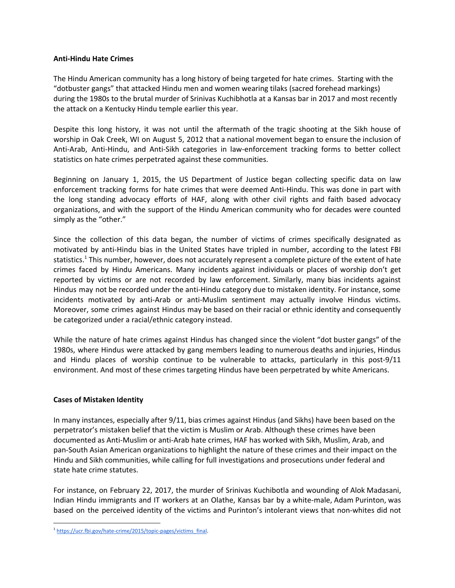## **Anti-Hindu Hate Crimes**

The Hindu American community has a long history of being targeted for hate crimes. Starting with the "dotbuster gangs" that attacked Hindu men and women wearing tilaks (sacred forehead markings) during the 1980s to the brutal murder of Srinivas Kuchibhotla at a Kansas bar in 2017 and most recently the attack on a Kentucky Hindu temple earlier this year.

Despite this long history, it was not until the aftermath of the tragic shooting at the Sikh house of worship in Oak Creek, WI on August 5, 2012 that a national movement began to ensure the inclusion of Anti-Arab, Anti-Hindu, and Anti-Sikh categories in law-enforcement tracking forms to better collect statistics on hate crimes perpetrated against these communities.

Beginning on January 1, 2015, the US Department of Justice began collecting specific data on law enforcement tracking forms for hate crimes that were deemed Anti-Hindu. This was done in part with the long standing advocacy efforts of HAF, along with other civil rights and faith based advocacy organizations, and with the support of the Hindu American community who for decades were counted simply as the "other."

Since the collection of this data began, the number of victims of crimes specifically designated as motivated by anti-Hindu bias in the United States have tripled in number, according to the latest FBI statistics.<sup>1</sup> This number, however, does not accurately represent a complete picture of the extent of hate crimes faced by Hindu Americans. Many incidents against individuals or places of worship don't get reported by victims or are not recorded by law enforcement. Similarly, many bias incidents against Hindus may not be recorded under the anti-Hindu category due to mistaken identity. For instance, some incidents motivated by anti-Arab or anti-Muslim sentiment may actually involve Hindus victims. Moreover, some crimes against Hindus may be based on their racial or ethnic identity and consequently be categorized under a racial/ethnic category instead.

While the nature of hate crimes against Hindus has changed since the violent "dot buster gangs" of the 1980s, where Hindus were attacked by gang members leading to numerous deaths and injuries, Hindus and Hindu places of worship continue to be vulnerable to attacks, particularly in this post-9/11 environment. And most of these crimes targeting Hindus have been perpetrated by white Americans.

## **Cases of Mistaken Identity**

In many instances, especially after 9/11, bias crimes against Hindus (and Sikhs) have been based on the perpetrator's mistaken belief that the victim is Muslim or Arab. Although these crimes have been documented as Anti-Muslim or anti-Arab hate crimes, HAF has worked with Sikh, Muslim, Arab, and pan-South Asian American organizations to highlight the nature of these crimes and their impact on the Hindu and Sikh communities, while calling for full investigations and prosecutions under federal and state hate crime statutes.

For instance, on February 22, 2017, the murder of Srinivas Kuchibotla and wounding of Alok Madasani, Indian Hindu immigrants and IT workers at an Olathe, Kansas bar by a white-male, Adam Purinton, was based on the perceived identity of the victims and Purinton's intolerant views that non-whites did not

<sup>&</sup>lt;sup>1</sup> [https://ucr.fbi.gov/hate-crime/2015/topic-pages/victims\\_final](https://ucr.fbi.gov/hate-crime/2015/topic-pages/victims_final).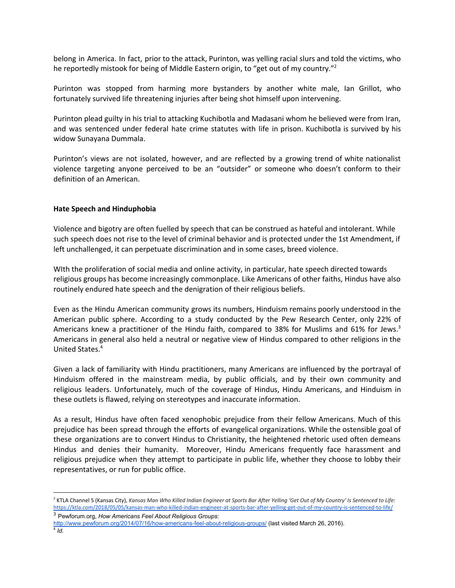belong in America. In fact, prior to the attack, Purinton, was yelling racial slurs and told the victims, who he reportedly mistook for being of Middle Eastern origin, to "get out of my country."<sup>2</sup>

Purinton was stopped from harming more bystanders by another white male, Ian Grillot, who fortunately survived life threatening injuries after being shot himself upon intervening.

Purinton plead guilty in his trial to attacking Kuchibotla and Madasani whom he believed were from Iran, and was sentenced under federal hate crime statutes with life in prison. Kuchibotla is survived by his widow Sunayana Dummala.

Purinton's views are not isolated, however, and are reflected by a growing trend of white nationalist violence targeting anyone perceived to be an "outsider" or someone who doesn't conform to their definition of an American.

## **Hate Speech and Hinduphobia**

Violence and bigotry are often fuelled by speech that can be construed as hateful and intolerant. While such speech does not rise to the level of criminal behavior and is protected under the 1st Amendment, if left unchallenged, it can perpetuate discrimination and in some cases, breed violence.

WIth the proliferation of social media and online activity, in particular, hate speech directed towards religious groups has become increasingly commonplace. Like Americans of other faiths, Hindus have also routinely endured hate speech and the denigration of their religious beliefs.

Even as the Hindu American community grows its numbers, Hinduism remains poorly understood in the American public sphere. According to a study conducted by the Pew Research Center, only 22% of Americans knew a practitioner of the Hindu faith, compared to 38% for Muslims and 61% for Jews.<sup>3</sup> Americans in general also held a neutral or negative view of Hindus compared to other religions in the United States. 4

Given a lack of familiarity with Hindu practitioners, many Americans are influenced by the portrayal of Hinduism offered in the mainstream media, by public officials, and by their own community and religious leaders. Unfortunately, much of the coverage of Hindus, Hindu Americans, and Hinduism in these outlets is flawed, relying on stereotypes and inaccurate information.

As a result, Hindus have often faced xenophobic prejudice from their fellow Americans. Much of this prejudice has been spread through the efforts of evangelical organizations. While the ostensible goal of these organizations are to convert Hindus to Christianity, the heightened rhetoric used often demeans Hindus and denies their humanity. Moreover, Hindu Americans frequently face harassment and religious prejudice when they attempt to participate in public life, whether they choose to lobby their representatives, or run for public office.

<sup>3</sup> Pewforum.org, *How Americans Feel About Religious Groups*:

<sup>&</sup>lt;sup>2</sup> KTLA Channel 5 (Kansas City), Kansas Man Who Killed Indian Engineer at Sports Bar After Yelling 'Get Out of My Country' Is Sentenced to Life: <https://ktla.com/2018/05/05/kansas-man-who-killed-indian-engineer-at-sports-bar-after-yelling-get-out-of-my-country-is-sentenced-to-life/>

<http://www.pewforum.org/2014/07/16/how-americans-feel-about-religious-groups/> (last visited March 26, 2016).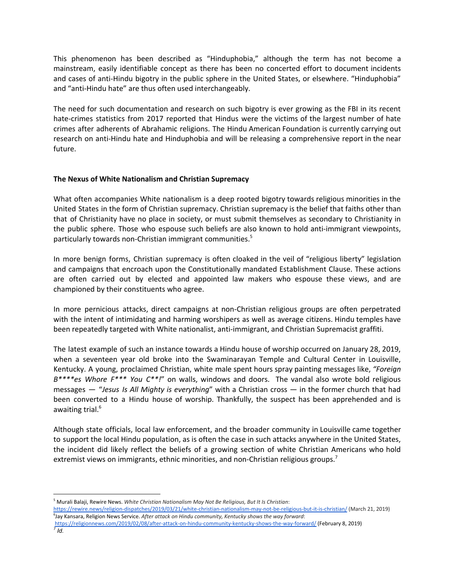This phenomenon has been described as "Hinduphobia," although the term has not become a mainstream, easily identifiable concept as there has been no concerted effort to document incidents and cases of anti-Hindu bigotry in the public sphere in the United States, or elsewhere. "Hinduphobia" and "anti-Hindu hate" are thus often used interchangeably.

The need for such documentation and research on such bigotry is ever growing as the FBI in its recent hate-crimes statistics from 2017 reported that Hindus were the victims of the largest number of hate crimes after adherents of Abrahamic religions. The Hindu American Foundation is currently carrying out research on anti-Hindu hate and Hinduphobia and will be releasing a comprehensive report in the near future.

## **The Nexus of White Nationalism and Christian Supremacy**

What often accompanies White nationalism is a deep rooted bigotry towards religious minorities in the United States in the form of Christian supremacy. Christian supremacy is the belief that faiths other than that of Christianity have no place in society, or must submit themselves as secondary to Christianity in the public sphere. Those who espouse such beliefs are also known to hold anti-immigrant viewpoints, particularly towards non-Christian immigrant communities. 5

In more benign forms, Christian supremacy is often cloaked in the veil of "religious liberty" legislation and campaigns that encroach upon the Constitutionally mandated Establishment Clause. These actions are often carried out by elected and appointed law makers who espouse these views, and are championed by their constituents who agree.

In more pernicious attacks, direct campaigns at non-Christian religious groups are often perpetrated with the intent of intimidating and harming worshipers as well as average citizens. Hindu temples have been repeatedly targeted with White nationalist, anti-immigrant, and Christian Supremacist graffiti.

The latest example of such an instance towards a Hindu house of worship occurred on January 28, 2019, when a seventeen year old broke into the Swaminarayan Temple and Cultural Center in Louisville, Kentucky. A young, proclaimed Christian, white male spent hours spray painting messages like, *"Foreign B\*\*\*\*es Whore F\*\*\* You C\*\*!*" on walls, windows and doors. The vandal also wrote bold religious messages — "*Jesus Is All Mighty is everything*" with a Christian cross — in the former church that had been converted to a Hindu house of worship. Thankfully, the suspect has been apprehended and is awaiting trial. 6

Although state officials, local law enforcement, and the broader community in Louisville came together to support the local Hindu population, as is often the case in such attacks anywhere in the United States, the incident did likely reflect the beliefs of a growing section of white Christian Americans who hold extremist views on immigrants, ethnic minorities, and non-Christian religious groups.<sup>7</sup>

<https://religionnews.com/2019/02/08/after-attack-on-hindu-community-kentucky-shows-the-way-forward/> (February 8, 2019) *7 Id.*

<sup>5</sup> Murali Balaji, Rewire News. *White Christian Nationalism May Not Be Religious, But It Is Christian*:

<https://rewire.news/religion-dispatches/2019/03/21/white-christian-nationalism-may-not-be-religious-but-it-is-christian/> (March 21, 2019) 6 Jay Kansara, Religion News Service. *After attack on Hindu community, Kentucky shows the way forward*: